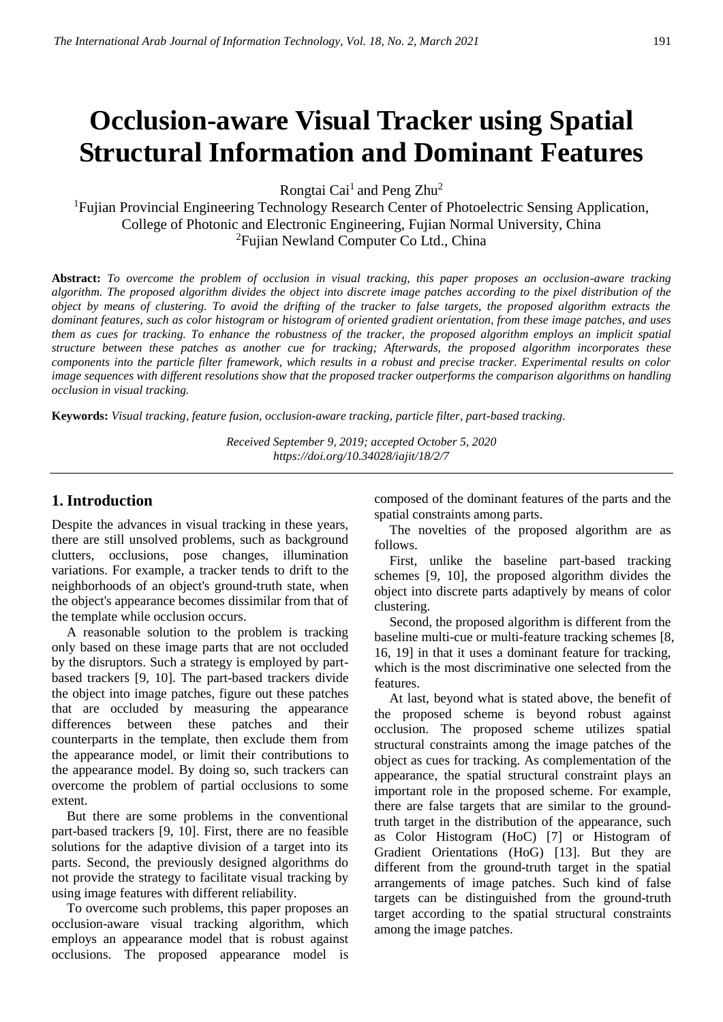# **Occlusion-aware Visual Tracker using Spatial Structural Information and Dominant Features**

Rongtai Cai<sup>1</sup> and Peng Zhu<sup>2</sup>

<sup>1</sup>Fujian Provincial Engineering Technology Research Center of Photoelectric Sensing Application, College of Photonic and Electronic Engineering, Fujian Normal University, China <sup>2</sup>Fujian Newland Computer Co Ltd., China

**Abstract:** *To overcome the problem of occlusion in visual tracking, this paper proposes an occlusion-aware tracking algorithm. The proposed algorithm divides the object into discrete image patches according to the pixel distribution of the object by means of clustering. To avoid the drifting of the tracker to false targets, the proposed algorithm extracts the dominant features, such as color histogram or histogram of oriented gradient orientation, from these image patches, and uses them as cues for tracking. To enhance the robustness of the tracker, the proposed algorithm employs an implicit spatial structure between these patches as another cue for tracking; Afterwards, the proposed algorithm incorporates these components into the particle filter framework, which results in a robust and precise tracker. Experimental results on color image sequences with different resolutions show that the proposed tracker outperforms the comparison algorithms on handling occlusion in visual tracking.*

**Keywords:** *Visual tracking, feature fusion, occlusion-aware tracking, particle filter, part-based tracking.*

*Received September 9, 2019; accepted October 5, 2020 <https://doi.org/10.34028/iajit/18/2/7>*

## **1. Introduction**

Despite the advances in visual tracking in these years, there are still unsolved problems, such as background clutters, occlusions, pose changes, illumination variations. For example, a tracker tends to drift to the neighborhoods of an object's ground-truth state, when the object's appearance becomes dissimilar from that of the template while occlusion occurs.

A reasonable solution to the problem is tracking only based on these image parts that are not occluded by the disruptors. Such a strategy is employed by partbased trackers [9, 10]. The part-based trackers divide the object into image patches, figure out these patches that are occluded by measuring the appearance differences between these patches and their counterparts in the template, then exclude them from the appearance model, or limit their contributions to the appearance model. By doing so, such trackers can overcome the problem of partial occlusions to some extent.

But there are some problems in the conventional part-based trackers [9, 10]. First, there are no feasible solutions for the adaptive division of a target into its parts. Second, the previously designed algorithms do not provide the strategy to facilitate visual tracking by using image features with different reliability.

To overcome such problems, this paper proposes an occlusion-aware visual tracking algorithm, which employs an appearance model that is robust against occlusions. The proposed appearance model is

composed of the dominant features of the parts and the spatial constraints among parts.

The novelties of the proposed algorithm are as follows.

First, unlike the baseline part-based tracking schemes [9, 10], the proposed algorithm divides the object into discrete parts adaptively by means of color clustering.

Second, the proposed algorithm is different from the baseline multi-cue or multi-feature tracking schemes [8, 16, 19] in that it uses a dominant feature for tracking, which is the most discriminative one selected from the features.

At last, beyond what is stated above, the benefit of the proposed scheme is beyond robust against occlusion. The proposed scheme utilizes spatial structural constraints among the image patches of the object as cues for tracking. As complementation of the appearance, the spatial structural constraint plays an important role in the proposed scheme. For example, there are false targets that are similar to the groundtruth target in the distribution of the appearance, such as Color Histogram (HoC) [7] or Histogram of Gradient Orientations (HoG) [13]. But they are different from the ground-truth target in the spatial arrangements of image patches. Such kind of false targets can be distinguished from the ground-truth target according to the spatial structural constraints among the image patches.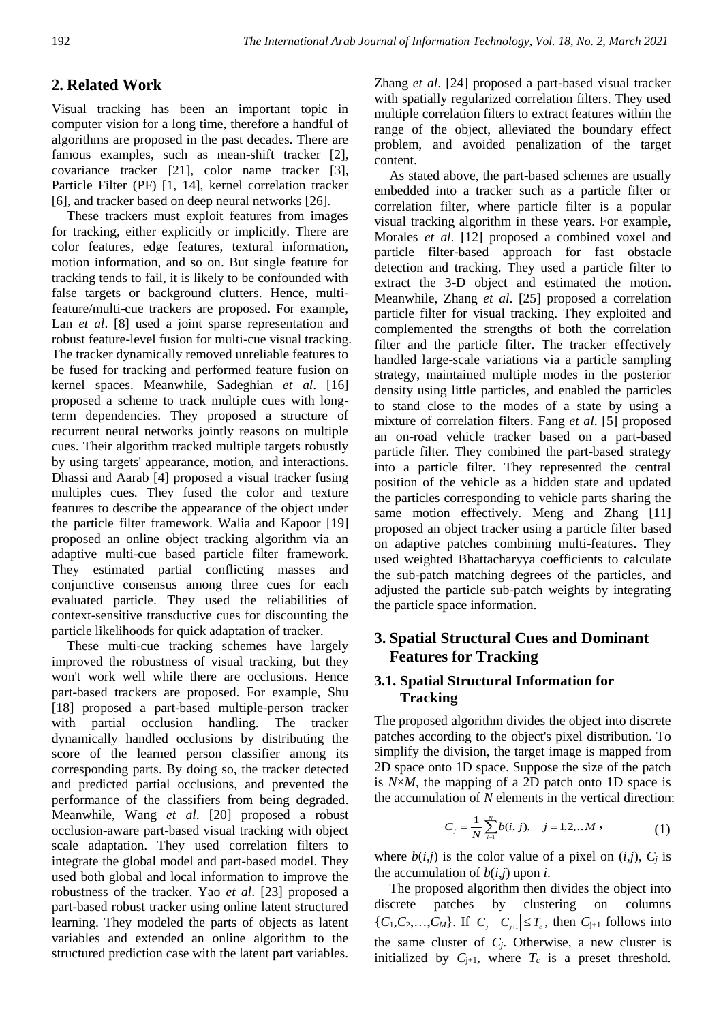# **2. Related Work**

Visual tracking has been an important topic in computer vision for a long time, therefore a handful of algorithms are proposed in the past decades. There are famous examples, such as mean-shift tracker [2], covariance tracker [21], color name tracker [3], Particle Filter (PF) [1, 14], kernel correlation tracker [6], and tracker based on deep neural networks [26].

These trackers must exploit features from images for tracking, either explicitly or implicitly. There are color features, edge features, textural information, motion information, and so on. But single feature for tracking tends to fail, it is likely to be confounded with false targets or background clutters. Hence, multifeature/multi-cue trackers are proposed. For example, Lan *et al.* [8] used a joint sparse representation and robust feature-level fusion for multi-cue visual tracking. The tracker dynamically removed unreliable features to be fused for tracking and performed feature fusion on kernel spaces. Meanwhile, Sadeghian *et al*. [16] proposed a scheme to track multiple cues with longterm dependencies. They proposed a structure of recurrent neural networks jointly reasons on multiple cues. Their algorithm tracked multiple targets robustly by using targets' appearance, motion, and interactions. Dhassi and Aarab [4] proposed a visual tracker fusing multiples cues. They fused the color and texture features to describe the appearance of the object under the particle filter framework. Walia and Kapoor [19] proposed an online object tracking algorithm via an adaptive multi-cue based particle filter framework. They estimated partial conflicting masses and conjunctive consensus among three cues for each evaluated particle. They used the reliabilities of context-sensitive transductive cues for discounting the particle likelihoods for quick adaptation of tracker.

These multi-cue tracking schemes have largely improved the robustness of visual tracking, but they won't work well while there are occlusions. Hence part-based trackers are proposed. For example, Shu [18] proposed a part-based multiple-person tracker with partial occlusion handling. The tracker dynamically handled occlusions by distributing the score of the learned person classifier among its corresponding parts. By doing so, the tracker detected and predicted partial occlusions, and prevented the performance of the classifiers from being degraded. Meanwhile, Wang *et al*. [20] proposed a robust occlusion-aware part-based visual tracking with object scale adaptation. They used correlation filters to integrate the global model and part-based model. They used both global and local information to improve the robustness of the tracker. Yao *et al*. [23] proposed a part-based robust tracker using online latent structured learning. They modeled the parts of objects as latent variables and extended an online algorithm to the structured prediction case with the latent part variables. Zhang *et al*. [24] proposed a part-based visual tracker with spatially regularized correlation filters. They used multiple correlation filters to extract features within the range of the object, alleviated the boundary effect problem, and avoided penalization of the target content.

As stated above, the part-based schemes are usually embedded into a tracker such as a particle filter or correlation filter, where particle filter is a popular visual tracking algorithm in these years. For example, Morales *et al*. [12] proposed a combined voxel and particle filter-based approach for fast obstacle detection and tracking. They used a particle filter to extract the 3-D object and estimated the motion. Meanwhile, Zhang *et al*. [25] proposed a correlation particle filter for visual tracking. They exploited and complemented the strengths of both the correlation filter and the particle filter. The tracker effectively handled large-scale variations via a particle sampling strategy, maintained multiple modes in the posterior density using little particles, and enabled the particles to stand close to the modes of a state by using a mixture of correlation filters. Fang *et al*. [5] proposed an on-road vehicle tracker based on a part-based particle filter. They combined the part-based strategy into a particle filter. They represented the central position of the vehicle as a hidden state and updated the particles corresponding to vehicle parts sharing the same motion effectively. Meng and Zhang [11] proposed an object tracker using a particle filter based on adaptive patches combining multi-features. They used weighted Bhattacharyya coefficients to calculate the sub-patch matching degrees of the particles, and adjusted the particle sub-patch weights by integrating the particle space information.

# **3. Spatial Structural Cues and Dominant Features for Tracking**

## **3.1. Spatial Structural Information for Tracking**

The proposed algorithm divides the object into discrete patches according to the object's pixel distribution. To simplify the division, the target image is mapped from 2D space onto 1D space. Suppose the size of the patch is *N*×*M*, the mapping of a 2D patch onto 1D space is the accumulation of *N* elements in the vertical direction:

$$
C_j = \frac{1}{N} \sum_{i=1}^{N} b(i, j), \quad j = 1, 2, \dots M,
$$
 (1)

where  $b(i,j)$  is the color value of a pixel on  $(i,j)$ ,  $C_i$  is the accumulation of  $b(i,j)$  upon *i*.

The proposed algorithm then divides the object into discrete patches by clustering on columns  $\{C_1, C_2, ..., C_M\}$ . If  $|C_j - C_{j+1}| \leq T_c$ , then  $C_{j+1}$  follows into the same cluster of  $C_i$ . Otherwise, a new cluster is initialized by  $C_{j+1}$ , where  $T_c$  is a preset threshold.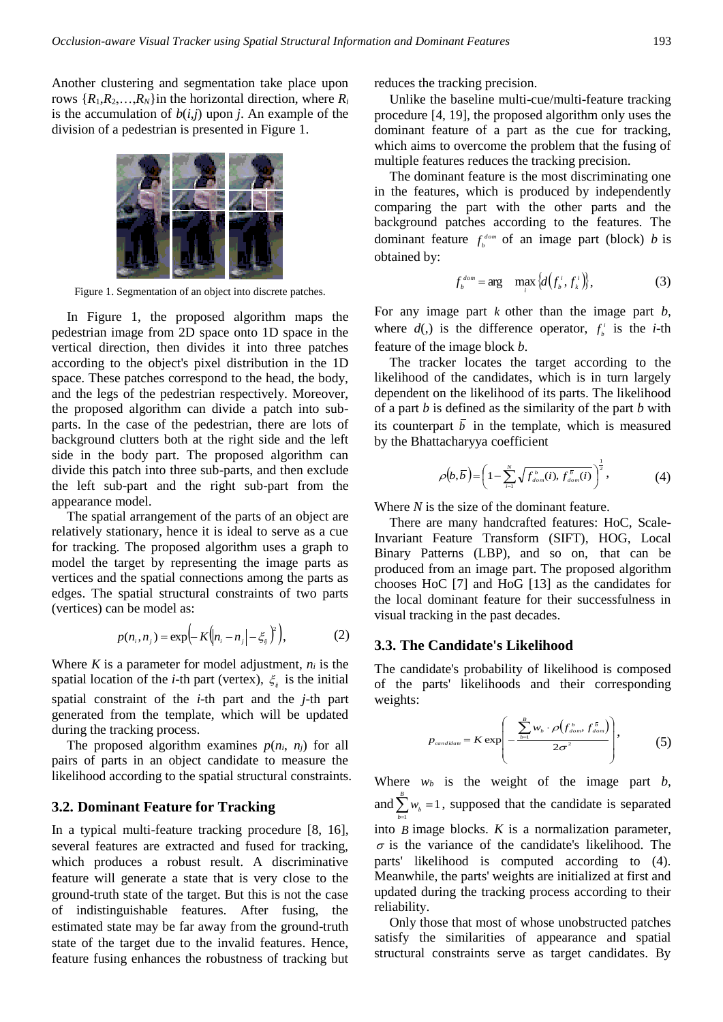Another clustering and segmentation take place upon rows  $\{R_1, R_2, \ldots, R_N\}$  in the horizontal direction, where  $R_i$ is the accumulation of  $b(i,j)$  upon *j*. An example of the division of a pedestrian is presented in Figure 1.



Figure 1. Segmentation of an object into discrete patches.

In Figure 1, the proposed algorithm maps the pedestrian image from 2D space onto 1D space in the vertical direction, then divides it into three patches according to the object's pixel distribution in the 1D space. These patches correspond to the head, the body, and the legs of the pedestrian respectively. Moreover, the proposed algorithm can divide a patch into subparts. In the case of the pedestrian, there are lots of background clutters both at the right side and the left side in the body part. The proposed algorithm can divide this patch into three sub-parts, and then exclude the left sub-part and the right sub-part from the appearance model.

The spatial arrangement of the parts of an object are relatively stationary, hence it is ideal to serve as a cue for tracking. The proposed algorithm uses a graph to model the target by representing the image parts as vertices and the spatial connections among the parts as edges. The spatial structural constraints of two parts (vertices) can be model as:

$$
p(n_i, n_j) = \exp\left(-K(n_i - n_j - \xi_i)^2\right),
$$
 (2)

Where  $K$  is a parameter for model adjustment,  $n_i$  is the spatial location of the *i*-th part (vertex),  $\xi_{ij}$  is the initial spatial constraint of the *i*-th part and the *j*-th part generated from the template, which will be updated during the tracking process.

The proposed algorithm examines  $p(n_i, n_j)$  for all pairs of parts in an object candidate to measure the likelihood according to the spatial structural constraints.

#### **3.2. Dominant Feature for Tracking**

In a typical multi-feature tracking procedure [8, 16], several features are extracted and fused for tracking, which produces a robust result. A discriminative feature will generate a state that is very close to the ground-truth state of the target. But this is not the case of indistinguishable features. After fusing, the estimated state may be far away from the ground-truth state of the target due to the invalid features. Hence, feature fusing enhances the robustness of tracking but reduces the tracking precision.

Unlike the baseline multi-cue/multi-feature tracking procedure [4, 19], the proposed algorithm only uses the dominant feature of a part as the cue for tracking, which aims to overcome the problem that the fusing of multiple features reduces the tracking precision.

The dominant feature is the most discriminating one in the features, which is produced by independently comparing the part with the other parts and the background patches according to the features. The dominant feature  $f_b^{dom}$  of an image part (block) *b* is obtained by:

$$
f_b^{dom} = \arg \max_i \left\{ d(f_b^i, f_i^i) \right\},\tag{3}
$$

For any image part *k* other than the image part *b*, where  $d(.)$  is the difference operator,  $f_i^i$  is the *i*-th feature of the image block *b*.

The tracker locates the target according to the likelihood of the candidates, which is in turn largely dependent on the likelihood of its parts. The likelihood of a part *b* is defined as the similarity of the part *b* with its counterpart  $b$  in the template, which is measured by the Bhattacharyya coefficient

$$
\rho(b,\overline{b}) = \left(1 - \sum_{i=1}^{N} \sqrt{f_{\text{dom}}^b(i), f_{\text{dom}}^{\overline{b}}(i)}\right)^{\frac{1}{2}},\tag{4}
$$

Where *N* is the size of the dominant feature.

There are many handcrafted features: HoC, Scale-Invariant Feature Transform (SIFT), HOG, Local Binary Patterns (LBP), and so on, that can be produced from an image part. The proposed algorithm chooses HoC [7] and HoG [13] as the candidates for the local dominant feature for their successfulness in visual tracking in the past decades.

#### **3.3. The Candidate's Likelihood**

The candidate's probability of likelihood is composed of the parts' likelihoods and their corresponding weights:

$$
p_{\text{candidate}} = K \exp\left(-\frac{\sum_{b=1}^{B} w_b \cdot \rho(f_{\text{dom}}^b, f_{\text{dom}}^{\bar{b}})}{2\sigma^2}\right),\tag{5}
$$

Where  $w_b$  is the weight of the image part  $b$ , and  $\sum_{b=1} w_b = 1$ *B*  $\sum_{b=1}^{k} w_b = 1$ , supposed that the candidate is separated into *B* image blocks. *K* is a normalization parameter,  $\sigma$  is the variance of the candidate's likelihood. The parts' likelihood is computed according to (4). Meanwhile, the parts' weights are initialized at first and updated during the tracking process according to their reliability.

Only those that most of whose unobstructed patches satisfy the similarities of appearance and spatial structural constraints serve as target candidates. By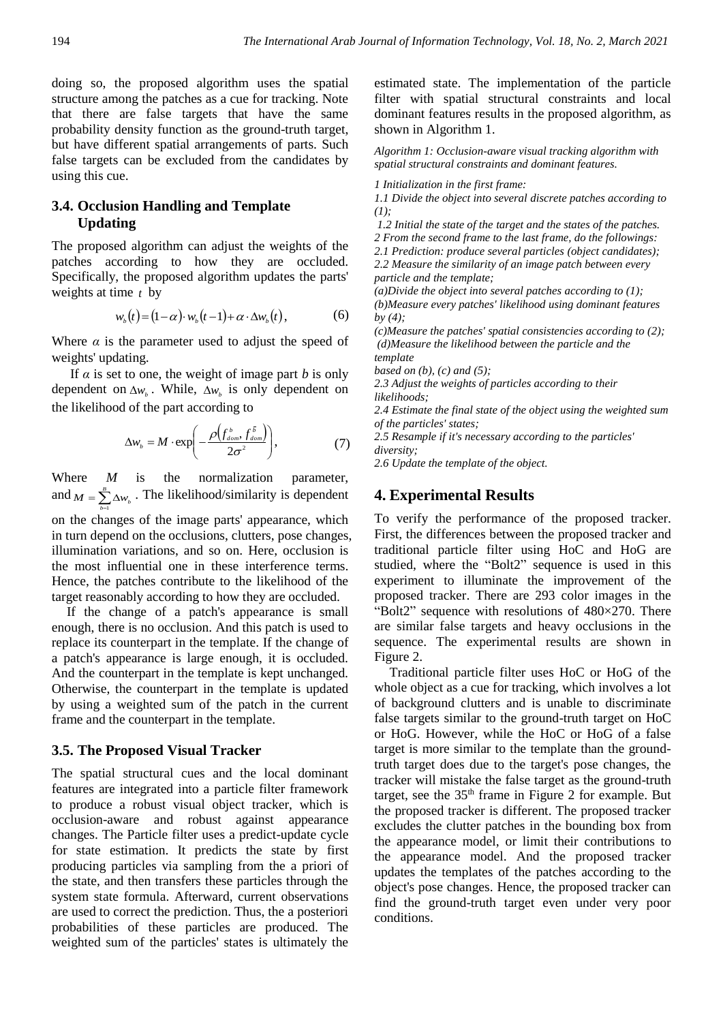doing so, the proposed algorithm uses the spatial structure among the patches as a cue for tracking. Note that there are false targets that have the same probability density function as the ground-truth target, but have different spatial arrangements of parts. Such false targets can be excluded from the candidates by using this cue.

# **3.4. Occlusion Handling and Template Updating**

The proposed algorithm can adjust the weights of the patches according to how they are occluded. Specifically, the proposed algorithm updates the parts' weights at time *t* by

$$
w_{b}(t) = (1 - \alpha) \cdot w_{b}(t - 1) + \alpha \cdot \Delta w_{b}(t), \qquad (6)
$$

Where  $\alpha$  is the parameter used to adjust the speed of weights' updating.

If  $\alpha$  is set to one, the weight of image part  $b$  is only dependent on  $\Delta w_b$ . While,  $\Delta w_b$  is only dependent on the likelihood of the part according to

$$
\Delta w_b = M \cdot \exp\left(-\frac{\rho \left(f_{\text{dom}}^b, f_{\text{dom}}^{\bar{b}}\right)}{2\sigma^2}\right),\tag{7}
$$

Where *M* is the normalization parameter, and  $M = \sum_{k=1}^{B} \Delta w_k$ . The likelihood/similarity is dependent *b* 1

on the changes of the image parts' appearance, which in turn depend on the occlusions, clutters, pose changes, illumination variations, and so on. Here, occlusion is the most influential one in these interference terms. Hence, the patches contribute to the likelihood of the target reasonably according to how they are occluded.

If the change of a patch's appearance is small enough, there is no occlusion. And this patch is used to replace its counterpart in the template. If the change of a patch's appearance is large enough, it is occluded. And the counterpart in the template is kept unchanged. Otherwise, the counterpart in the template is updated by using a weighted sum of the patch in the current frame and the counterpart in the template.

## **3.5. The Proposed Visual Tracker**

The spatial structural cues and the local dominant features are integrated into a particle filter framework to produce a robust visual object tracker, which is occlusion-aware and robust against appearance changes. The Particle filter uses a predict-update cycle for state estimation. It predicts the state by first producing particles via sampling from the a priori of the state, and then transfers these particles through the system state formula. Afterward, current observations are used to correct the prediction. Thus, the a posteriori probabilities of these particles are produced. The weighted sum of the particles' states is ultimately the estimated state. The implementation of the particle filter with spatial structural constraints and local dominant features results in the proposed algorithm, as shown in Algorithm 1.

*Algorithm 1: Occlusion-aware visual tracking algorithm with spatial structural constraints and dominant features.*

*1 Initialization in the first frame:* 

*1.1 Divide the object into several discrete patches according to (1);*

*1.2 Initial the state of the target and the states of the patches.*

*2 From the second frame to the last frame, do the followings:* 

*2.1 Prediction: produce several particles (object candidates); 2.2 Measure the similarity of an image patch between every particle and the template;*

*(a)Divide the object into several patches according to (1); (b)Measure every patches' likelihood using dominant features by (4);*

*(c)Measure the patches' spatial consistencies according to (2); (d)Measure the likelihood between the particle and the template* 

*based on (b), (c) and (5);*

*2.3 Adjust the weights of particles according to their likelihoods;*

*2.4 Estimate the final state of the object using the weighted sum of the particles' states;*

*2.5 Resample if it's necessary according to the particles' diversity;*

*2.6 Update the template of the object.*

## **4. Experimental Results**

To verify the performance of the proposed tracker. First, the differences between the proposed tracker and traditional particle filter using HoC and HoG are studied, where the "Bolt2" sequence is used in this experiment to illuminate the improvement of the proposed tracker. There are 293 color images in the "Bolt2" sequence with resolutions of  $480\times270$ . There are similar false targets and heavy occlusions in the sequence. The experimental results are shown in Figure 2.

Traditional particle filter uses HoC or HoG of the whole object as a cue for tracking, which involves a lot of background clutters and is unable to discriminate false targets similar to the ground-truth target on HoC or HoG. However, while the HoC or HoG of a false target is more similar to the template than the groundtruth target does due to the target's pose changes, the tracker will mistake the false target as the ground-truth target, see the  $35<sup>th</sup>$  frame in Figure 2 for example. But the proposed tracker is different. The proposed tracker excludes the clutter patches in the bounding box from the appearance model, or limit their contributions to the appearance model. And the proposed tracker updates the templates of the patches according to the object's pose changes. Hence, the proposed tracker can find the ground-truth target even under very poor conditions.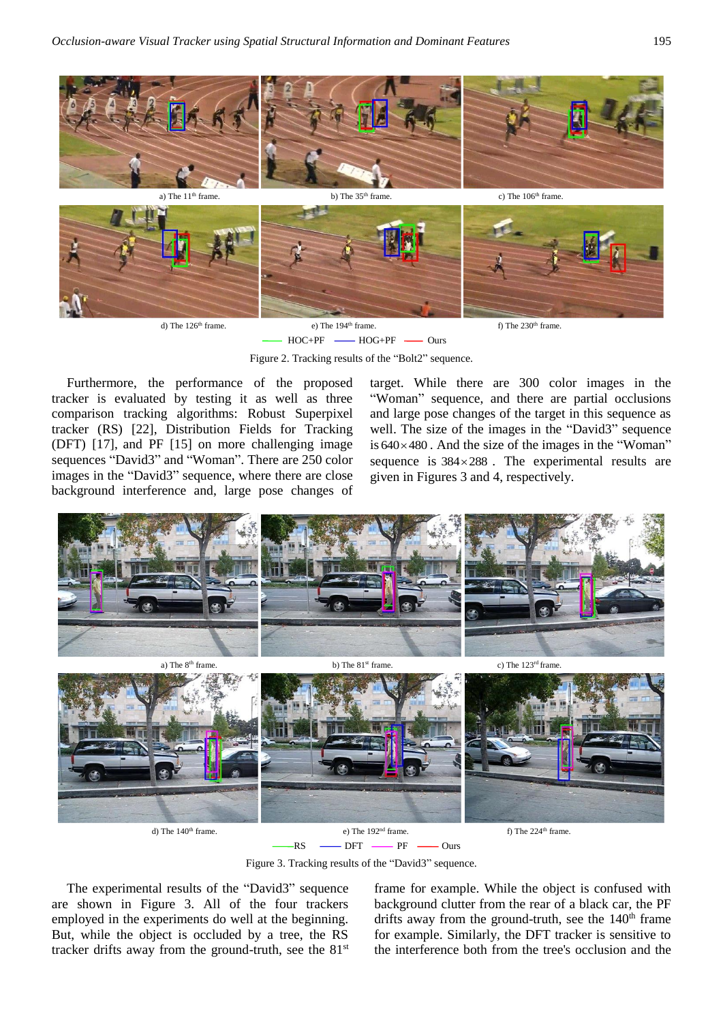

HOC+PF - HOG+PF - Ours

Figure 2. Tracking results of the "Bolt2" sequence.

Furthermore, the performance of the proposed tracker is evaluated by testing it as well as three comparison tracking algorithms: Robust Superpixel tracker (RS) [22], Distribution Fields for Tracking (DFT) [17], and PF [15] on more challenging image sequences "David3" and "Woman". There are 250 color images in the "David3" sequence, where there are close background interference and, large pose changes of

target. While there are 300 color images in the "Woman" sequence, and there are partial occlusions and large pose changes of the target in this sequence as well. The size of the images in the "David3" sequence is  $640 \times 480$ . And the size of the images in the "Woman" sequence is  $384 \times 288$ . The experimental results are given in Figures 3 and 4, respectively.



Figure 3. Tracking results of the "David3" sequence.

The experimental results of the "David3" sequence are shown in Figure 3. All of the four trackers employed in the experiments do well at the beginning. But, while the object is occluded by a tree, the RS tracker drifts away from the ground-truth, see the  $81<sup>st</sup>$ 

frame for example. While the object is confused with background clutter from the rear of a black car, the PF drifts away from the ground-truth, see the  $140<sup>th</sup>$  frame for example. Similarly, the DFT tracker is sensitive to the interference both from the tree's occlusion and the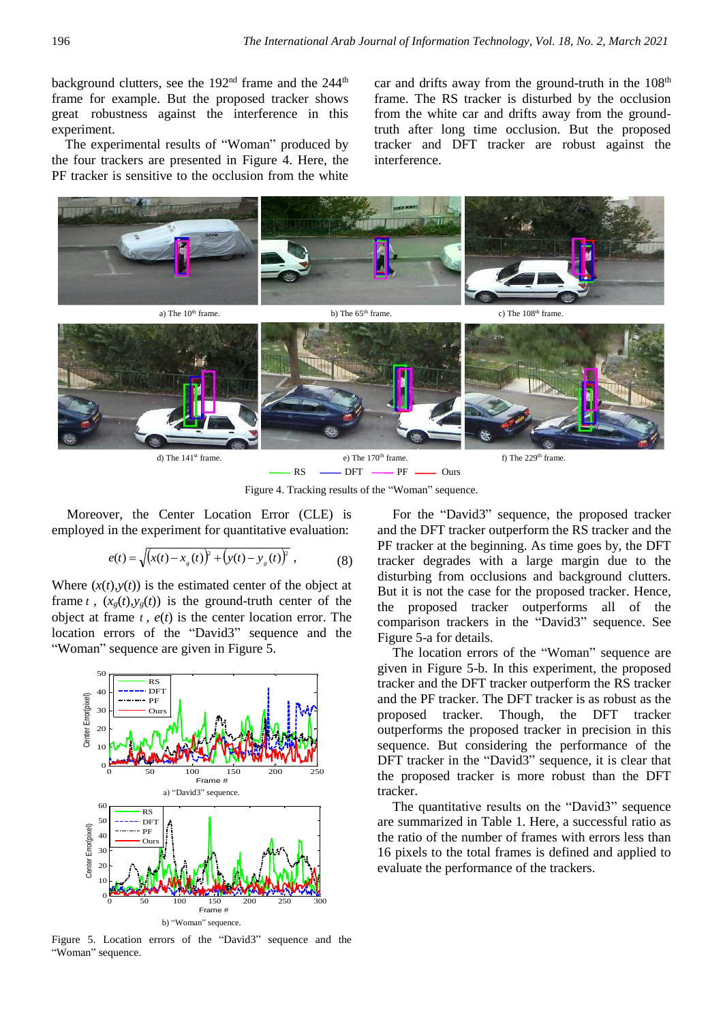background clutters, see the  $192<sup>nd</sup>$  frame and the  $244<sup>th</sup>$ frame for example. But the proposed tracker shows great robustness against the interference in this experiment.

The experimental results of "Woman" produced by the four trackers are presented in Figure 4. Here, the PF tracker is sensitive to the occlusion from the white car and drifts away from the ground-truth in the  $108<sup>th</sup>$ frame. The RS tracker is disturbed by the occlusion from the white car and drifts away from the groundtruth after long time occlusion. But the proposed tracker and DFT tracker are robust against the interference.



Figure 4. Tracking results of the "Woman" sequence.

Moreover, the Center Location Error (CLE) is employed in the experiment for quantitative evaluation:

$$
e(t) = \sqrt{(x(t) - xg(t))^{2} + (y(t) - yg(t))^{2}}
$$
, (8)

Where  $(x(t),y(t))$  is the estimated center of the object at frame  $t$ ,  $(x_g(t), y_g(t))$  is the ground-truth center of the object at frame *t* , *e*(*t*) is the center location error. The location errors of the "David3" sequence and the "Woman" sequence are given in Figure 5.



Figure 5. Location errors of the "David3" sequence and the "Woman" sequence.

For the "David3" sequence, the proposed tracker and the DFT tracker outperform the RS tracker and the PF tracker at the beginning. As time goes by, the DFT tracker degrades with a large margin due to the disturbing from occlusions and background clutters. But it is not the case for the proposed tracker. Hence, the proposed tracker outperforms all of the comparison trackers in the "David3" sequence. See Figure 5-a for details.

The location errors of the "Woman" sequence are given in Figure 5-b. In this experiment, the proposed tracker and the DFT tracker outperform the RS tracker and the PF tracker. The DFT tracker is as robust as the proposed tracker. Though, the DFT tracker outperforms the proposed tracker in precision in this sequence. But considering the performance of the DFT tracker in the "David3" sequence, it is clear that the proposed tracker is more robust than the DFT tracker.

The quantitative results on the "David3" sequence are summarized in Table 1. Here, a successful ratio as the ratio of the number of frames with errors less than 16 pixels to the total frames is defined and applied to evaluate the performance of the trackers.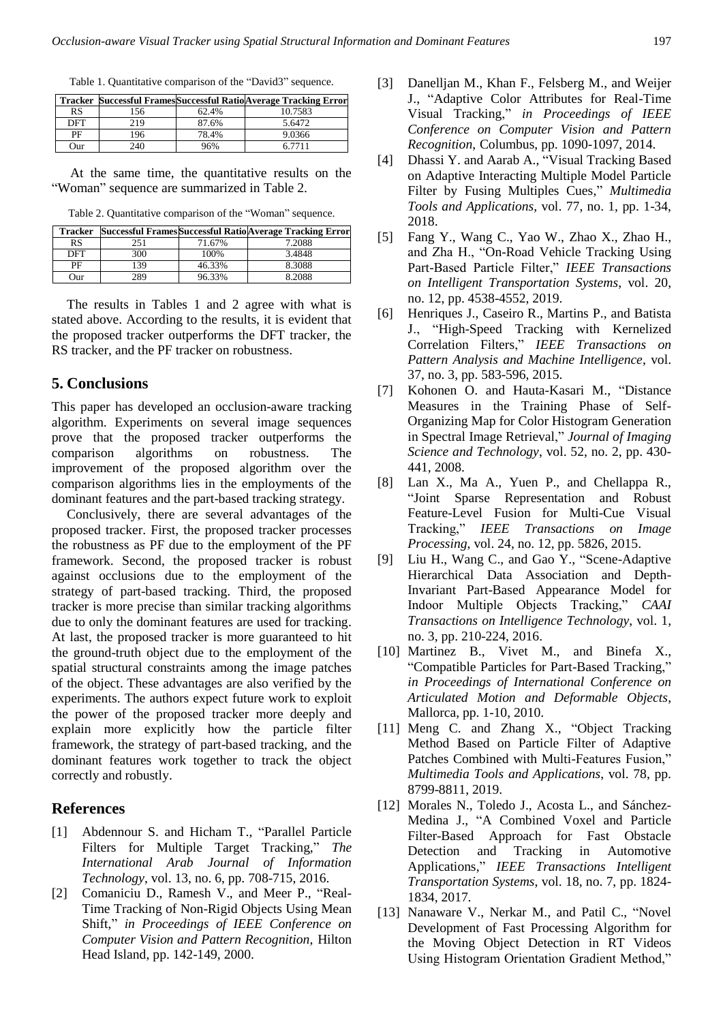Table 1. Quantitative comparison of the "David3" sequence.

|            |     |       | <b>Tracker Successful Frames Successful Ratio Average Tracking Error</b> |
|------------|-----|-------|--------------------------------------------------------------------------|
| RS         | 156 | 62.4% | 10.7583                                                                  |
| <b>DFT</b> | 219 | 87.6% | 5.6472                                                                   |
| PF         | 196 | 78.4% | 9.0366                                                                   |
| Our        | 240 | 96%   | 6 7711                                                                   |

At the same time, the quantitative results on the "Woman" sequence are summarized in Table 2.

| <b>Tracker</b> |     |        | <b>Successful Frames Successful Ratio Average Tracking Error</b> |
|----------------|-----|--------|------------------------------------------------------------------|
| <b>RS</b>      | 251 | 71.67% | 7.2088                                                           |
| DFT            | 300 | 100%   | 3.4848                                                           |
| PF             | 139 | 46.33% | 8.3088                                                           |
| <b>Our</b>     | 289 | 96.33% | 8.2088                                                           |

Table 2. Quantitative comparison of the "Woman" sequence.

The results in Tables 1 and 2 agree with what is stated above. According to the results, it is evident that the proposed tracker outperforms the DFT tracker, the RS tracker, and the PF tracker on robustness.

### **5. Conclusions**

This paper has developed an occlusion-aware tracking algorithm. Experiments on several image sequences prove that the proposed tracker outperforms the comparison algorithms on robustness. The improvement of the proposed algorithm over the comparison algorithms lies in the employments of the dominant features and the part-based tracking strategy.

Conclusively, there are several advantages of the proposed tracker. First, the proposed tracker processes the robustness as PF due to the employment of the PF framework. Second, the proposed tracker is robust against occlusions due to the employment of the strategy of part-based tracking. Third, the proposed tracker is more precise than similar tracking algorithms due to only the dominant features are used for tracking. At last, the proposed tracker is more guaranteed to hit the ground-truth object due to the employment of the spatial structural constraints among the image patches of the object. These advantages are also verified by the experiments. The authors expect future work to exploit the power of the proposed tracker more deeply and explain more explicitly how the particle filter framework, the strategy of part-based tracking, and the dominant features work together to track the object correctly and robustly.

## **References**

- [1] Abdennour S. and Hicham T., "Parallel Particle Filters for Multiple Target Tracking," *The International Arab Journal of Information Technology*, vol. 13, no. 6, pp. 708-715, 2016.
- [2] Comaniciu D., Ramesh V., and Meer P., "Real-Time Tracking of Non-Rigid Objects Using Mean Shift," *in Proceedings of IEEE Conference on Computer Vision and Pattern Recognition*, Hilton Head Island, pp. 142-149, 2000.
- [3] Danelljan M., Khan F., Felsberg M., and Weijer J., "Adaptive Color Attributes for Real-Time Visual Tracking," *in Proceedings of IEEE Conference on Computer Vision and Pattern Recognition*, Columbus, pp. 1090-1097, 2014.
- [4] Dhassi Y. and Aarab A., "Visual Tracking Based on Adaptive Interacting Multiple Model Particle Filter by Fusing Multiples Cues," *Multimedia Tools and Applications*, vol. 77, no. 1, pp. 1-34, 2018.
- [5] Fang Y., Wang C., Yao W., Zhao X., Zhao H., and Zha H., "On-Road Vehicle Tracking Using Part-Based Particle Filter," *IEEE Transactions on Intelligent Transportation Systems*, vol. 20, no. 12, pp. 4538-4552, 2019.
- [6] Henriques J., Caseiro R., Martins P., and Batista J., "High-Speed Tracking with Kernelized Correlation Filters," *IEEE Transactions on Pattern Analysis and Machine Intelligence*, vol. 37, no. 3, pp. 583-596, 2015.
- [7] Kohonen O. and Hauta-Kasari M., "Distance Measures in the Training Phase of Self-Organizing Map for Color Histogram Generation in Spectral Image Retrieval," *Journal of Imaging Science and Technology*, vol. 52, no. 2, pp. 430- 441, 2008.
- [8] Lan X., Ma A., Yuen P., and Chellappa R., "Joint Sparse Representation and Robust Feature-Level Fusion for Multi-Cue Visual Tracking," *IEEE Transactions on Image Processing*, vol. 24, no. 12, pp. 5826, 2015.
- [9] Liu H., Wang C., and Gao Y., "Scene-Adaptive Hierarchical Data Association and Depth-Invariant Part-Based Appearance Model for Indoor Multiple Objects Tracking," *CAAI Transactions on Intelligence Technology*, vol. 1, no. 3, pp. 210-224, 2016.
- [10] Martinez B., Vivet M., and Binefa X., "Compatible Particles for Part-Based Tracking," *in Proceedings of International Conference on Articulated Motion and Deformable Objects*, Mallorca, pp. 1-10, 2010.
- [11] Meng C. and Zhang X., "Object Tracking Method Based on Particle Filter of Adaptive Patches Combined with Multi-Features Fusion," *Multimedia Tools and Applications*, vol. 78, pp. 8799-8811, 2019.
- [12] Morales N., Toledo J., Acosta L., and Sánchez-Medina J., "A Combined Voxel and Particle Filter-Based Approach for Fast Obstacle Detection and Tracking in Automotive Applications," *IEEE Transactions Intelligent Transportation Systems*, vol. 18, no. 7, pp. 1824- 1834, 2017.
- [13] Nanaware V., Nerkar M., and Patil C., "Novel Development of Fast Processing Algorithm for the Moving Object Detection in RT Videos Using Histogram Orientation Gradient Method,"